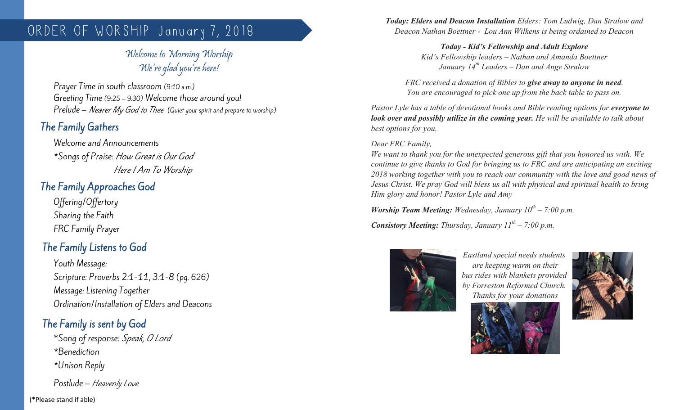# ORDER OF WORSHIP January 7, 2018

## Welcome to Morning Worship We're glad you're here!

Prayer Time in south classroom (9:10 a.m.) Greeting Time (9:25 – 9:30) Welcome those around you! Prelude – Nearer My God to Thee (Quiet your spirit and prepare to worship)

# The Family Gathers

Welcome and Announcements \*Songs of Praise: How Great is Our God Here I Am To Worship

## The Family Approaches God

Offering/Offertory Sharing the Faith FRC Family Prayer

# The Family Listens to God

Youth Message: Scripture: Proverbs 2:1-11, 3:1-8 (pg. 626) Message: Listening Together Ordination/Installation of Elders and Deacons

# The Family is sent by God

\*Song of response: Speak, O Lord \*Benediction \*Unison Reply

Postlude – Heavenly Love

(\*Please stand if able)

*Today: Elders and Deacon Installation Elders: Tom Ludwig, Dan Stralow and Deacon Nathan Boettner - Lou Ann Wilkens is being ordained to Deacon*

> *Today - Kid's Fellowship and Adult Explore Kid's Fellowship leaders – Nathan and Amanda Boettner January 14th Leaders – Dan and Ange Stralow*

*FRC received a donation of Bibles to give away to anyone in need. You are encouraged to pick one up from the back table to pass on.*

*Pastor Lyle has a table of devotional books and Bible reading options for everyone to look over and possibly utilize in the coming year. He will be available to talk about best options for you.*

### *Dear FRC Family,*

*We want to thank you for the unexpected generous gift that you honored us with. We continue to give thanks to God for bringing us to FRC and are anticipating an exciting 2018 working together with you to reach our community with the love and good news of Jesus Christ. We pray God will bless us all with physical and spiritual health to bring Him glory and honor! Pastor Lyle and Amy*

*Worship Team Meeting: Wednesday, January 10th – 7:00 p.m.*

*Consistory Meeting: Thursday, January 11th – 7:00 p.m.*



*Eastland special needs students are keeping warm on their bus rides with blankets provided by Forreston Reformed Church. Thanks for your donations*